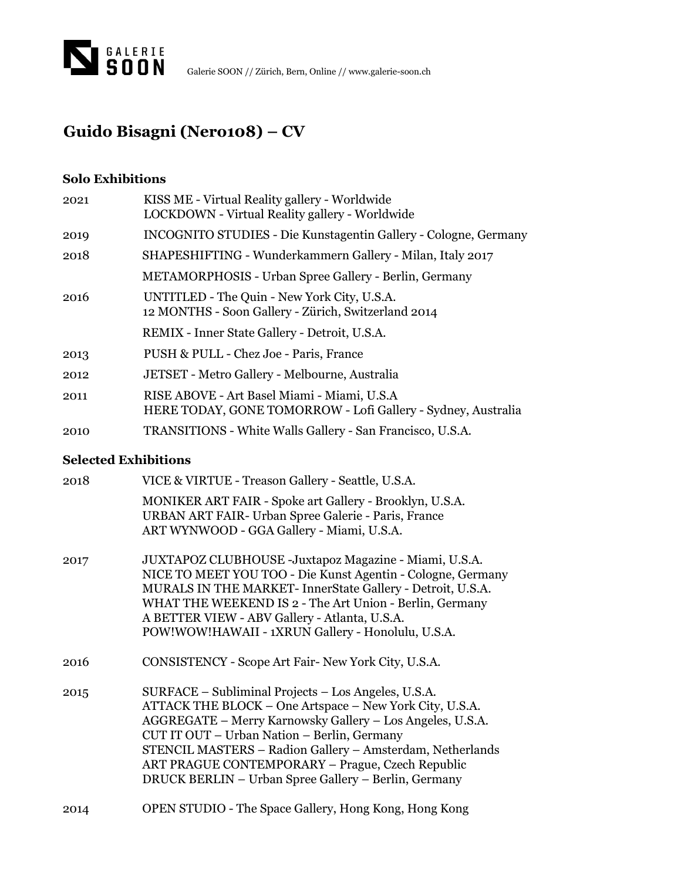

## **Guido Bisagni (Nero108) – CV**

## **Solo Exhibitions**

| 2021 | KISS ME - Virtual Reality gallery - Worldwide<br>LOCKDOWN - Virtual Reality gallery - Worldwide             |
|------|-------------------------------------------------------------------------------------------------------------|
| 2019 | <b>INCOGNITO STUDIES - Die Kunstagentin Gallery - Cologne, Germany</b>                                      |
| 2018 | SHAPESHIFTING - Wunderkammern Gallery - Milan, Italy 2017                                                   |
|      | <b>METAMORPHOSIS</b> - Urban Spree Gallery - Berlin, Germany                                                |
| 2016 | UNTITLED - The Quin - New York City, U.S.A.<br>12 MONTHS - Soon Gallery - Zürich, Switzerland 2014          |
|      | REMIX - Inner State Gallery - Detroit, U.S.A.                                                               |
| 2013 | PUSH & PULL - Chez Joe - Paris, France                                                                      |
| 2012 | JETSET - Metro Gallery - Melbourne, Australia                                                               |
| 2011 | RISE ABOVE - Art Basel Miami - Miami, U.S.A<br>HERE TODAY, GONE TOMORROW - Lofi Gallery - Sydney, Australia |
| 2010 | TRANSITIONS - White Walls Gallery - San Francisco, U.S.A.                                                   |

## **Selected Exhibitions**

| 2018 | VICE & VIRTUE - Treason Gallery - Seattle, U.S.A.                                                                                                                                                                                                                                                                                                                                                   |
|------|-----------------------------------------------------------------------------------------------------------------------------------------------------------------------------------------------------------------------------------------------------------------------------------------------------------------------------------------------------------------------------------------------------|
|      | MONIKER ART FAIR - Spoke art Gallery - Brooklyn, U.S.A.<br>URBAN ART FAIR- Urban Spree Galerie - Paris, France<br>ART WYNWOOD - GGA Gallery - Miami, U.S.A.                                                                                                                                                                                                                                         |
| 2017 | JUXTAPOZ CLUBHOUSE - Juxtapoz Magazine - Miami, U.S.A.<br>NICE TO MEET YOU TOO - Die Kunst Agentin - Cologne, Germany<br>MURALS IN THE MARKET- InnerState Gallery - Detroit, U.S.A.<br>WHAT THE WEEKEND IS 2 - The Art Union - Berlin, Germany<br>A BETTER VIEW - ABV Gallery - Atlanta, U.S.A.<br>POW!WOW!HAWAII - 1XRUN Gallery - Honolulu, U.S.A.                                                |
| 2016 | CONSISTENCY - Scope Art Fair-New York City, U.S.A.                                                                                                                                                                                                                                                                                                                                                  |
| 2015 | SURFACE – Subliminal Projects – Los Angeles, U.S.A.<br>ATTACK THE BLOCK - One Artspace - New York City, U.S.A.<br>AGGREGATE - Merry Karnowsky Gallery - Los Angeles, U.S.A.<br>CUT IT OUT - Urban Nation - Berlin, Germany<br>STENCIL MASTERS - Radion Gallery - Amsterdam, Netherlands<br>ART PRAGUE CONTEMPORARY – Prague, Czech Republic<br>DRUCK BERLIN – Urban Spree Gallery – Berlin, Germany |
| 2014 | OPEN STUDIO - The Space Gallery, Hong Kong, Hong Kong                                                                                                                                                                                                                                                                                                                                               |